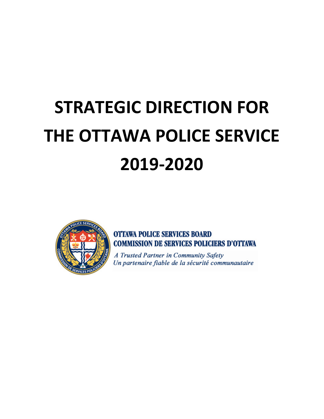# **STRATEGIC DIRECTION FOR THE OTTAWA POLICE SERVICE 2019-2020**



**OTTAWA POLICE SERVICES BOARD COMMISSION DE SERVICES POLICIERS D'OTTAWA** 

A Trusted Partner in Community Safety Un partenaire fiable de la sécurité communautaire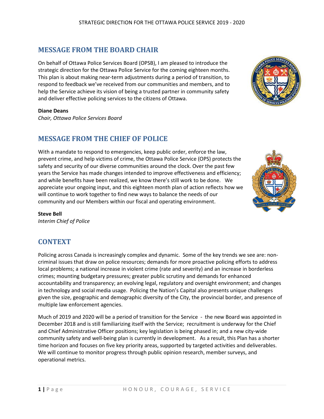# **MESSAGE FROM THE BOARD CHAIR**

On behalf of Ottawa Police Services Board (OPSB), I am pleased to introduce the strategic direction for the Ottawa Police Service for the coming eighteen months. This plan is about making near-term adjustments during a period of transition, to respond to feedback we've received from our communities and members, and to help the Service achieve its vision of being a trusted partner in community safety and deliver effective policing services to the citizens of Ottawa.

#### **Diane Deans**

*Chair, Ottawa Police Services Board*

## **MESSAGE FROM THE CHIEF OF POLICE**

With a mandate to respond to emergencies, keep public order, enforce the law, prevent crime, and help victims of crime, the Ottawa Police Service (OPS) protects the safety and security of our diverse communities around the clock. Over the past few years the Service has made changes intended to improve effectiveness and efficiency; and while benefits have been realized, we know there's still work to be done. We appreciate your ongoing input, and this eighteen month plan of action reflects how we will continue to work together to find new ways to balance the needs of our community and our Members within our fiscal and operating environment.

#### **Steve Bell**

*Interim Chief of Police*

## **CONTEXT**

Policing across Canada is increasingly complex and dynamic. Some of the key trends we see are: noncriminal issues that draw on police resources; demands for more proactive policing efforts to address local problems; a national increase in violent crime (rate and severity) and an increase in borderless crimes; mounting budgetary pressures; greater public scrutiny and demands for enhanced accountability and transparency; an evolving legal, regulatory and oversight environment; and changes in technology and social media usage. Policing the Nation's Capital also presents unique challenges given the size, geographic and demographic diversity of the City, the provincial border, and presence of multiple law enforcement agencies.

Much of 2019 and 2020 will be a period of transition for the Service - the new Board was appointed in December 2018 and is still familiarizing itself with the Service; recruitment is underway for the Chief and Chief Administrative Officer positions; key legislation is being phased in; and a new city-wide community safety and well-being plan is currently in development. As a result, this Plan has a shorter time horizon and focuses on five key priority areas, supported by targeted activities and deliverables. We will continue to monitor progress through public opinion research, member surveys, and operational metrics.



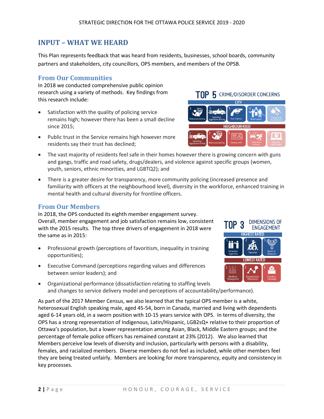# **INPUT – WHAT WE HEARD**

This Plan represents feedback that was heard from residents, businesses, school boards, community partners and stakeholders, city councillors, OPS members, and members of the OPSB.

## **From Our Communities**

In 2018 we conducted comprehensive public opinion research using a variety of methods. Key findings from this research include:

- Satisfaction with the quality of policing service remains high; however there has been a small decline since 2015;
- Public trust in the Service remains high however more residents say their trust has declined;
- The vast majority of residents feel safe in their homes however there is growing concern with guns and gangs, traffic and road safety, drugs/dealers, and violence against specific groups (women, youth, seniors, ethnic minorities, and LGBTQ2); and
- There is a greater desire for transparency, more community policing (increased presence and familiarity with officers at the neighbourhood level), diversity in the workforce, enhanced training in mental health and cultural diversity for frontline officers.

#### **From Our Members**

In 2018, the OPS conducted its eighth member engagement survey. Overall, member engagement and job satisfaction remains low, consistent with the 2015 results. The top three drivers of engagement in 2018 were the same as in 2015:

- Professional growth (perceptions of favoritism, inequality in training opportunities);
- Executive Command (perceptions regarding values and differences between senior leaders); and
- Organizational performance (dissatisfaction relating to staffing levels and changes to service delivery model and perceptions of accountability/performance).

As part of the 2017 Member Census, we also learned that the typical OPS member is a white, heterosexual English speaking male, aged 45-54, born in Canada, married and living with dependents aged 6-14 years old, in a sworn position with 10-15 years service with OPS. In terms of diversity, the OPS has a strong representation of Indigenous, Latin/Hispanic, LGB2sQ+ relative to their proportion of Ottawa's population, but a lower representation among Asian, Black, Middle Eastern groups; and the percentage of female police officers has remained constant at 23% (2012). We also learned that Members perceive low levels of diversity and inclusion, particularly with persons with a disability, females, and racialized members. Diverse members do not feel as included, while other members feel they are being treated unfairly. Members are looking for more transparency, equity and consistency in key processes.



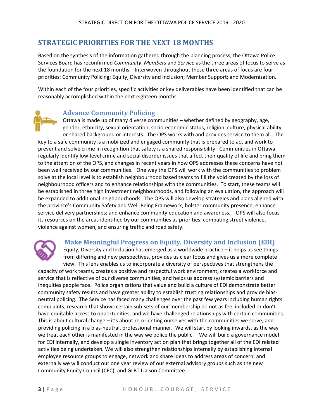# **STRATEGIC PRIORITIES FOR THE NEXT 18 MONTHS**

Based on the synthesis of the information gathered through the planning process, the Ottawa Police Services Board has reconfirmed *Community*, *Members* and *Service* as the three areas of focus to serve as the foundation for the next 18 months. Interwoven throughout these three areas of focus are four priorities: Community Policing; Equity, Diversity and Inclusion; Member Support; and Modernization.

Within each of the four priorities, specific activities or key deliverables have been identified that can be reasonably accomplished within the next eighteen months.

# **Advance Community Policing**

Ottawa is made up of many diverse communities – whether defined by geography, age, gender, ethnicity, sexual orientation, socio-economic status, religion, culture, physical ability, or shared background or interests. The OPS works with and provides service to them all. The

key to a safe community is a mobilized and engaged community that is prepared to act and work to prevent and solve crime in recognition that safety is a shared responsibility. Communities in Ottawa regularly identify low-level crime and social disorder issues that affect their quality of life and bring them to the attention of the OPS, and changes in recent years in how OPS addresses these concerns have not been well received by our communities. One way the OPS will work with the communities to problem solve at the local level is to establish neighbourhood based teams to fill the void created by the loss of neighbourhood officers and to enhance relationships with the communities. To start, these teams will be established in three high investment neighbourhoods, and following an evaluation, the approach will be expanded to additional neighbourhoods. The OPS will also develop strategies and plans aligned with the province's Community Safety and Well-Being Framework; bolster community presence; enhance service delivery partnerships; and enhance community education and awareness. OPS will also focus its resources on the areas identified by our communities as priorities: combating street violence, violence against women, and ensuring traffic and road safety.



## **Make Meaningful Progress on Equity, Diversity and Inclusion (EDI)**

Equity, Diversity and Inclusion has emerged as a worldwide practice – it helps us see things from differing and new perspectives, provides us clear focus and gives us a more complete view. This lens enables us to incorporate a diversity of perspectives that strengthens the

capacity of work teams, creates a positive and respectful work environment, creates a workforce and service that is reflective of our diverse communities, and helps us address systemic barriers and inequities people face. Police organizations that value and build a culture of EDI demonstrate better community safety results and have greater ability to establish trusting relationships and provide biasneutral policing. The Service has faced many challenges over the past few years including human rights complaints; research that shows certain sub-sets of our membership do not as feel included or don't have equitable access to opportunities; and we have challenged relationships with certain communities. This is about cultural change – it's about re-orienting ourselves with the communities we serve, and providing policing in a bias-neutral, professional manner. We will start by looking inwards, as the way we treat each other is manifested in the way we police the public. We will build a governance model for EDI internally, and develop a single inventory action plan that brings together all of the EDI related activities being undertaken. We will also strengthen relationships internally by establishing internal employee resource groups to engage, network and share ideas to address areas of concern; and externally we will conduct our one year review of our external advisory groups such as the new Community Equity Council (CEC), and GLBT Liaison Committee.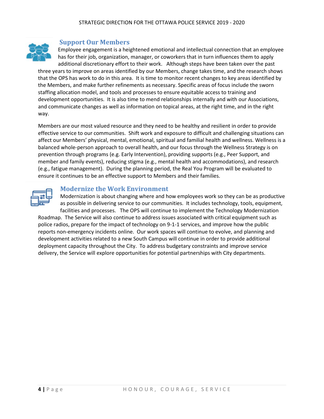

#### **Support Our Members**

Employee engagement is a heightened emotional and intellectual connection that an employee has for their job, organization, manager, or coworkers that in turn influences them to apply additional discretionary effort to their work. Although steps have been taken over the past

three years to improve on areas identified by our Members, change takes time, and the research shows that the OPS has work to do in this area. It is time to monitor recent changes to key areas identified by the Members, and make further refinements as necessary. Specific areas of focus include the sworn staffing allocation model, and tools and processes to ensure equitable access to training and development opportunities. It is also time to mend relationships internally and with our Associations, and communicate changes as well as information on topical areas, at the right time, and in the right way.

Members are our most valued resource and they need to be healthy and resilient in order to provide effective service to our communities. Shift work and exposure to difficult and challenging situations can affect our Members' physical, mental, emotional, spiritual and familial health and wellness. Wellness is a balanced whole-person approach to overall health, and our focus through the Wellness Strategy is on prevention through programs (e.g. Early Intervention), providing supports (e.g., Peer Support, and member and family events), reducing stigma (e.g., mental health and accommodations), and research (e.g., fatigue management). During the planning period, the Real You Program will be evaluated to ensure it continues to be an effective support to Members and their families.



#### **Modernize the Work Environment**

Modernization is about changing where and how employees work so they can be as productive as possible in delivering service to our communities. It includes technology, tools, equipment,

facilities and processes. The OPS will continue to implement the Technology Modernization Roadmap. The Service will also continue to address issues associated with critical equipment such as police radios, prepare for the impact of technology on 9-1-1 services, and improve how the public reports non-emergency incidents online. Our work spaces will continue to evolve, and planning and development activities related to a new South Campus will continue in order to provide additional deployment capacity throughout the City. To address budgetary constraints and improve service delivery, the Service will explore opportunities for potential partnerships with City departments.